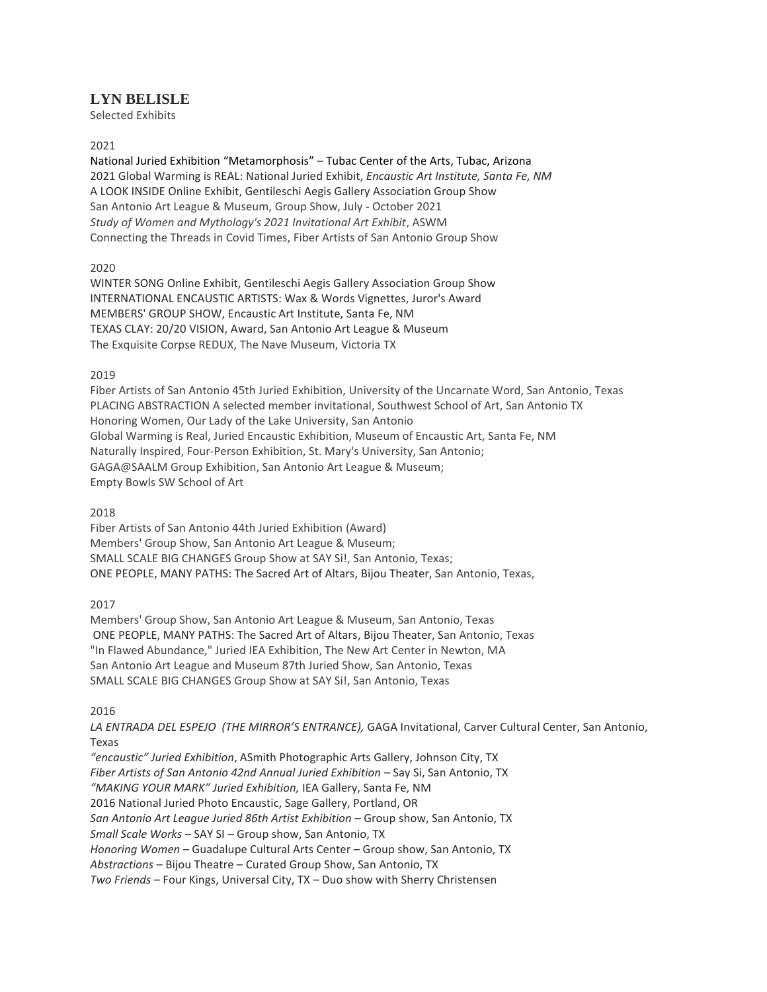# **LYN BELISLE**

Selected Exhibits

### 2021

National Juried Exhibition "Metamorphosis" – Tubac Center of the Arts, Tubac, Arizona 2021 Global Warming is REAL: National Juried Exhibit, *Encaustic Art Institute, Santa Fe, NM* A LOOK INSIDE Online Exhibit, Gentileschi Aegis Gallery Association Group Show San Antonio Art League & Museum, Group Show, July - October 2021 *Study of Women and Mythology's 2021 Invitational Art Exhibit*, ASWM Connecting the Threads in Covid Times, Fiber Artists of San Antonio Group Show

## 2020

WINTER SONG Online Exhibit, Gentileschi Aegis Gallery Association Group Show INTERNATIONAL ENCAUSTIC ARTISTS: Wax & Words Vignettes, Juror's Award MEMBERS' GROUP SHOW, Encaustic Art Institute, Santa Fe, NM TEXAS CLAY: 20/20 VISION, Award, San Antonio Art League & Museum The Exquisite Corpse REDUX, The Nave Museum, Victoria TX

## 2019

Fiber Artists of San Antonio 45th Juried Exhibition, University of the Uncarnate Word, San Antonio, Texas PLACING ABSTRACTION A selected member invitational, Southwest School of Art, San Antonio TX Honoring Women, Our Lady of the Lake University, San Antonio Global Warming is Real, Juried Encaustic Exhibition, Museum of Encaustic Art, Santa Fe, NM Naturally Inspired, Four-Person Exhibition, St. Mary's University, San Antonio; GAGA@SAALM Group Exhibition, San Antonio Art League & Museum; Empty Bowls SW School of Art

### 2018

Fiber Artists of San Antonio 44th Juried Exhibition (Award) Members' Group Show, San Antonio Art League & Museum; SMALL SCALE BIG CHANGES Group Show at SAY Si!, San Antonio, Texas; ONE PEOPLE, MANY PATHS: The Sacred Art of Altars, Bijou Theater, San Antonio, Texas,

# 2017

Members' Group Show, San Antonio Art League & Museum, San Antonio, Texas ONE PEOPLE, MANY PATHS: The Sacred Art of Altars, Bijou Theater, San Antonio, Texas "In Flawed Abundance," Juried IEA Exhibition, The New Art Center in Newton, MA San Antonio Art League and Museum 87th Juried Show, San Antonio, Texas SMALL SCALE BIG CHANGES Group Show at SAY Si!, San Antonio, Texas

2016

*LA ENTRADA DEL ESPEJO (THE MIRROR'S ENTRANCE),* GAGA Invitational, Carver Cultural Center, San Antonio, Texas

*"encaustic" Juried Exhibition*, ASmith Photographic Arts Gallery, Johnson City, TX *Fiber Artists of San Antonio 42nd Annual Juried Exhibition* – Say Si, San Antonio, TX *"MAKING YOUR MARK" Juried Exhibition,* IEA Gallery, Santa Fe, NM 2016 National Juried Photo Encaustic, Sage Gallery, Portland, OR *San Antonio Art League Juried 86th Artist Exhibition* – Group show, San Antonio, TX *Small Scale Works* – SAY SI – Group show, San Antonio, TX *Honoring Women* – Guadalupe Cultural Arts Center – Group show, San Antonio, TX *Abstractions* – Bijou Theatre – Curated Group Show, San Antonio, TX *Two Friends* – Four Kings, Universal City, TX – Duo show with Sherry Christensen